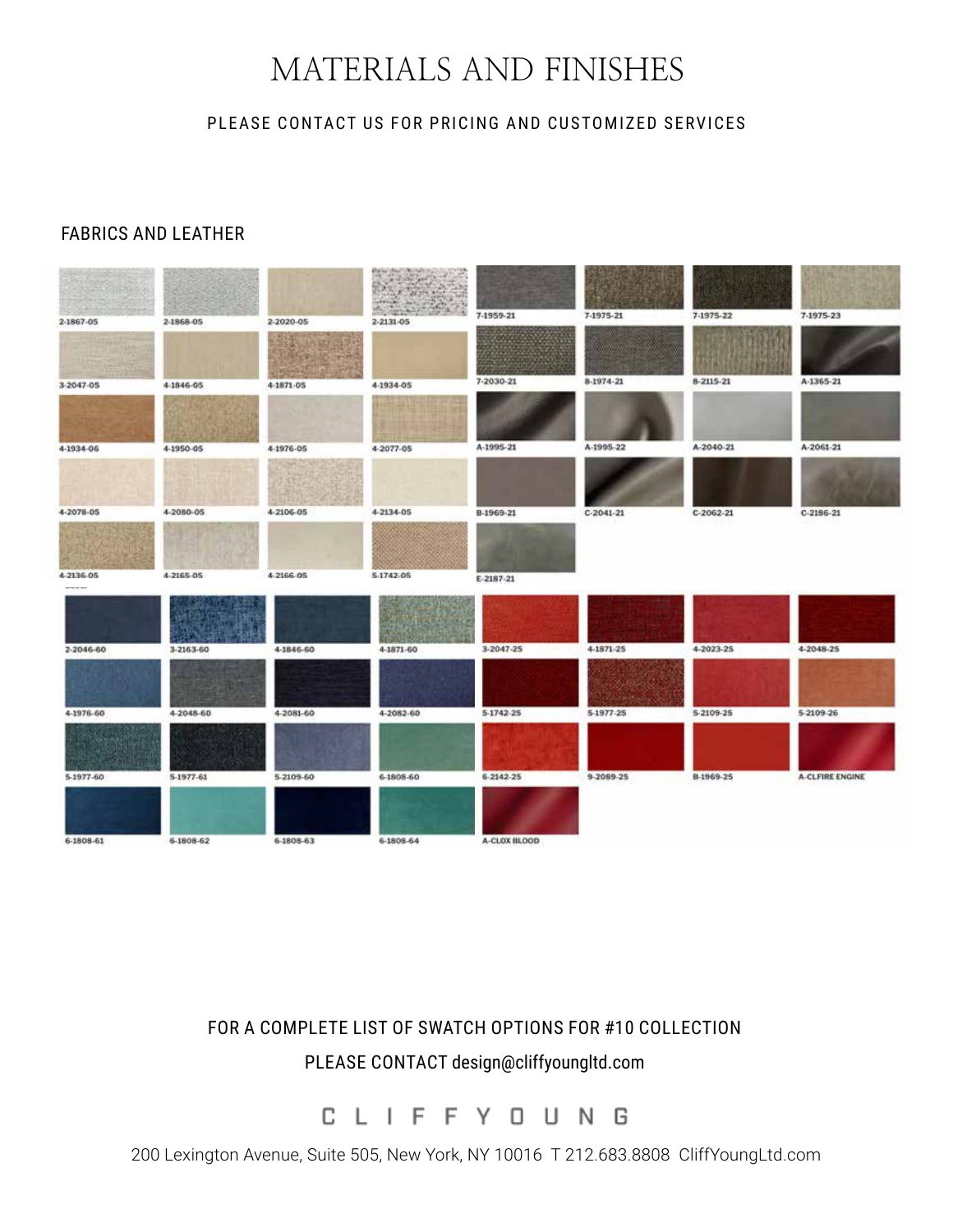# MATERIALS AND FINISHES

#### PLEASE CONTACT US FOR PRICING AND CUSTOMIZED SERVICES

#### FABRICS AND LEATHER



## FOR A COMPLETE LIST OF SWATCH OPTIONS FOR #10 COLLECTION PLEASE CONTACT design@cliffyoungltd.com

C  $\perp$ I F F Y O U N G

200 Lexington Avenue, Suite 505, New York, NY 10016 T 212.683.8808 CliffYoungLtd.com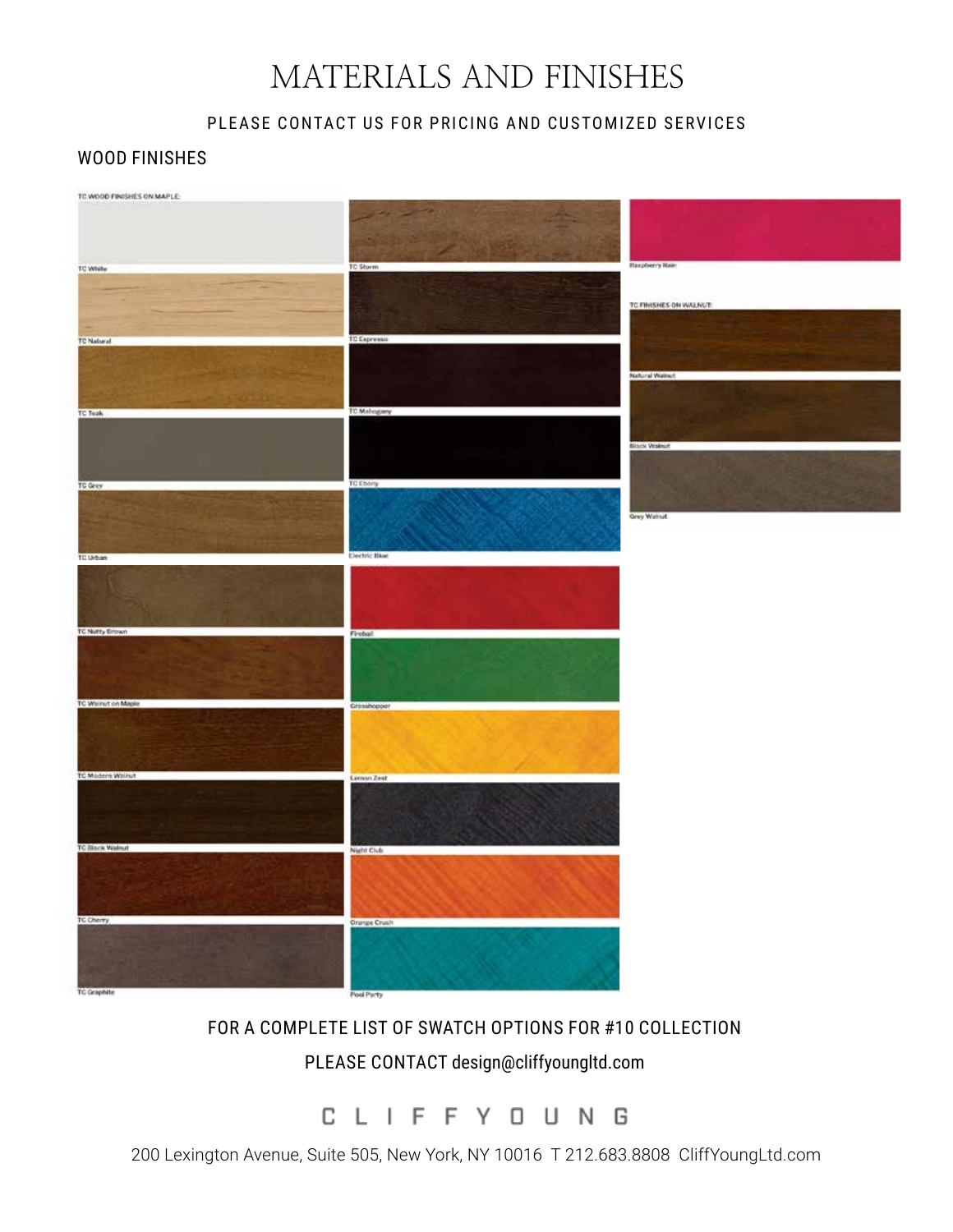# MATERIALS AND FINISHES

### PLEASE CONTACT US FOR PRICING AND CUSTOMIZED SERVICES

#### WOOD FINISHES



## FOR A COMPLETE LIST OF SWATCH OPTIONS FOR #10 COLLECTION PLEASE CONTACT design@cliffyoungltd.com

CLIFFY OUNG

200 Lexington Avenue, Suite 505, New York, NY 10016 T 212.683.8808 CliffYoungLtd.com